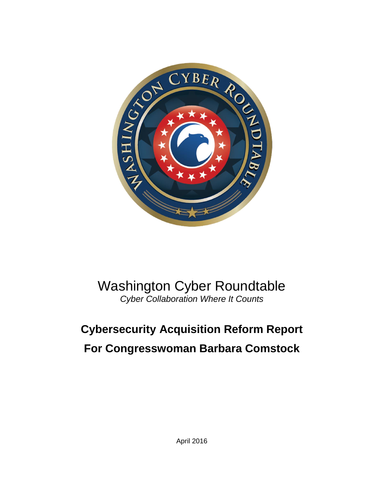

## Washington Cyber Roundtable *Cyber Collaboration Where It Counts*

# **Cybersecurity Acquisition Reform Report For Congresswoman Barbara Comstock**

April 2016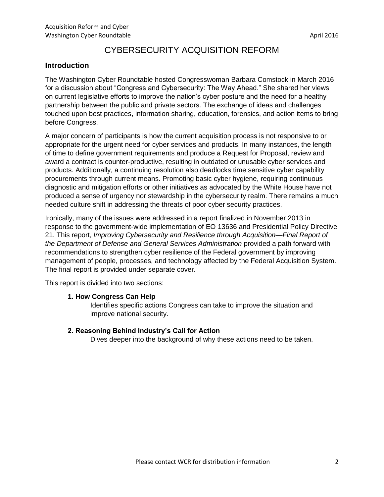### CYBERSECURITY ACQUISITION REFORM

#### **Introduction**

The Washington Cyber Roundtable hosted Congresswoman Barbara Comstock in March 2016 for a discussion about "Congress and Cybersecurity: The Way Ahead." She shared her views on current legislative efforts to improve the nation's cyber posture and the need for a healthy partnership between the public and private sectors. The exchange of ideas and challenges touched upon best practices, information sharing, education, forensics, and action items to bring before Congress.

A major concern of participants is how the current acquisition process is not responsive to or appropriate for the urgent need for cyber services and products. In many instances, the length of time to define government requirements and produce a Request for Proposal, review and award a contract is counter-productive, resulting in outdated or unusable cyber services and products. Additionally, a continuing resolution also deadlocks time sensitive cyber capability procurements through current means. Promoting basic cyber hygiene, requiring continuous diagnostic and mitigation efforts or other initiatives as advocated by the White House have not produced a sense of urgency nor stewardship in the cybersecurity realm. There remains a much needed culture shift in addressing the threats of poor cyber security practices.

Ironically, many of the issues were addressed in a report finalized in November 2013 in response to the government-wide implementation of EO 13636 and Presidential Policy Directive 21. This report, *Improving Cybersecurity and Resilience through Acquisition—Final Report of the Department of Defense and General Services Administration* provided a path forward with recommendations to strengthen cyber resilience of the Federal government by improving management of people, processes, and technology affected by the Federal Acquisition System. The final report is provided under separate cover.

This report is divided into two sections:

#### **1. How Congress Can Help**

Identifies specific actions Congress can take to improve the situation and improve national security.

#### **2. Reasoning Behind Industry's Call for Action**

Dives deeper into the background of why these actions need to be taken.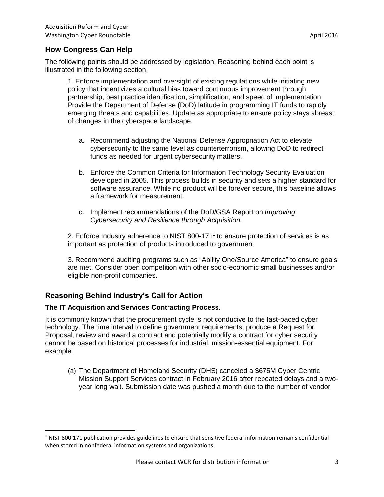#### **How Congress Can Help**

The following points should be addressed by legislation. Reasoning behind each point is illustrated in the following section.

1. Enforce implementation and oversight of existing regulations while initiating new policy that incentivizes a cultural bias toward continuous improvement through partnership, best practice identification, simplification, and speed of implementation. Provide the Department of Defense (DoD) latitude in programming IT funds to rapidly emerging threats and capabilities. Update as appropriate to ensure policy stays abreast of changes in the cyberspace landscape.

- a. Recommend adjusting the National Defense Appropriation Act to elevate cybersecurity to the same level as counterterrorism, allowing DoD to redirect funds as needed for urgent cybersecurity matters.
- b. Enforce the Common Criteria for Information Technology Security Evaluation developed in 2005. This process builds in security and sets a higher standard for software assurance. While no product will be forever secure, this baseline allows a framework for measurement.
- c. Implement recommendations of the DoD/GSA Report on *Improving Cybersecurity and Resilience through Acquisition.*

2. Enforce Industry adherence to NIST 800-171 $<sup>1</sup>$  to ensure protection of services is as</sup> important as protection of products introduced to government.

3. Recommend auditing programs such as "Ability One/Source America" to ensure goals are met. Consider open competition with other socio-economic small businesses and/or eligible non-profit companies.

#### **Reasoning Behind Industry's Call for Action**

 $\overline{\phantom{a}}$ 

#### **The IT Acquisition and Services Contracting Process**.

It is commonly known that the procurement cycle is not conducive to the fast-paced cyber technology. The time interval to define government requirements, produce a Request for Proposal, review and award a contract and potentially modify a contract for cyber security cannot be based on historical processes for industrial, mission-essential equipment. For example:

(a) The Department of Homeland Security (DHS) canceled a \$675M Cyber Centric Mission Support Services contract in February 2016 after repeated delays and a twoyear long wait. Submission date was pushed a month due to the number of vendor

 $1$  NIST 800-171 publication provides guidelines to ensure that sensitive federal information remains confidential when stored in nonfederal information systems and organizations.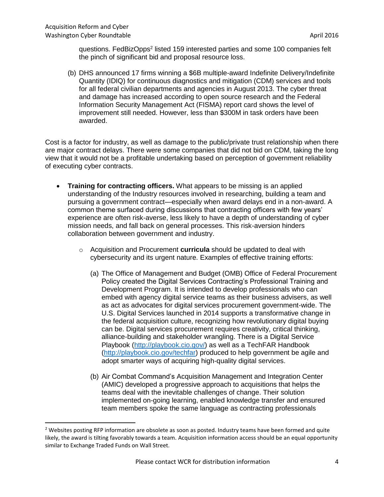$\overline{a}$ 

questions. FedBizOpps<sup>2</sup> listed 159 interested parties and some 100 companies felt the pinch of significant bid and proposal resource loss.

(b) DHS announced 17 firms winning a \$6B multiple-award Indefinite Delivery/Indefinite Quantity (IDIQ) for continuous diagnostics and mitigation (CDM) services and tools for all federal civilian departments and agencies in August 2013. The cyber threat and damage has increased according to open source research and the Federal Information Security Management Act (FISMA) report card shows the level of improvement still needed. However, less than \$300M in task orders have been awarded.

Cost is a factor for industry, as well as damage to the public/private trust relationship when there are major contract delays. There were some companies that did not bid on CDM, taking the long view that it would not be a profitable undertaking based on perception of government reliability of executing cyber contracts.

- **Training for contracting officers.** What appears to be missing is an applied understanding of the Industry resources involved in researching, building a team and pursuing a government contract—especially when award delays end in a non-award. A common theme surfaced during discussions that contracting officers with few years' experience are often risk-averse, less likely to have a depth of understanding of cyber mission needs, and fall back on general processes. This risk-aversion hinders collaboration between government and industry.
	- o Acquisition and Procurement **curricula** should be updated to deal with cybersecurity and its urgent nature. Examples of effective training efforts:
		- (a) The Office of Management and Budget (OMB) Office of Federal Procurement Policy created the Digital Services Contracting's Professional Training and Development Program. It is intended to develop professionals who can embed with agency digital service teams as their business advisers, as well as act as advocates for digital services procurement government-wide. The U.S. Digital Services launched in 2014 supports a transformative change in the federal acquisition culture, recognizing how revolutionary digital buying can be. Digital services procurement requires creativity, critical thinking, alliance-building and stakeholder wrangling. There is a Digital Service Playbook [\(http://playbook.cio.gov/\)](http://playbook.cio.gov/) as well as a TechFAR Handbook [\(http://playbook.cio.gov/techfar\)](http://playbook.cio.gov/techfar) produced to help government be agile and adopt smarter ways of acquiring high-quality digital services.
		- (b) Air Combat Command's Acquisition Management and Integration Center (AMIC) developed a progressive approach to acquisitions that helps the teams deal with the inevitable challenges of change. Their solution implemented on-going learning, enabled knowledge transfer and ensured team members spoke the same language as contracting professionals

<sup>&</sup>lt;sup>2</sup> Websites posting RFP information are obsolete as soon as posted. Industry teams have been formed and quite likely, the award is tilting favorably towards a team. Acquisition information access should be an equal opportunity similar to Exchange Traded Funds on Wall Street.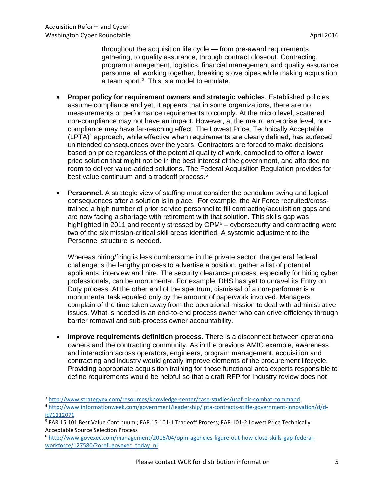$\overline{\phantom{a}}$ 

throughout the acquisition life cycle — from pre-award requirements gathering, to quality assurance, through contract closeout. Contracting, program management, logistics, financial management and quality assurance personnel all working together, breaking stove pipes while making acquisition a team sport.<sup>3</sup> This is a model to emulate.

- **Proper policy for requirement owners and strategic vehicles**. Established policies assume compliance and yet, it appears that in some organizations, there are no measurements or performance requirements to comply. At the micro level, scattered non-compliance may not have an impact. However, at the macro enterprise level, noncompliance may have far-reaching effect. The Lowest Price, Technically Acceptable  $(LPTA)<sup>4</sup>$  approach, while effective when requirements are clearly defined, has surfaced unintended consequences over the years. Contractors are forced to make decisions based on price regardless of the potential quality of work, compelled to offer a lower price solution that might not be in the best interest of the government, and afforded no room to deliver value-added solutions. The Federal Acquisition Regulation provides for best value continuum and a tradeoff process.<sup>5</sup>
- **Personnel.** A strategic view of staffing must consider the pendulum swing and logical consequences after a solution is in place. For example, the Air Force recruited/crosstrained a high number of prior service personnel to fill contracting/acquisition gaps and are now facing a shortage with retirement with that solution. This skills gap was highlighted in 2011 and recently stressed by  $OPM<sup>6</sup>$  – cybersecurity and contracting were two of the six mission-critical skill areas identified. A systemic adjustment to the Personnel structure is needed.

Whereas hiring/firing is less cumbersome in the private sector, the general federal challenge is the lengthy process to advertise a position, gather a list of potential applicants, interview and hire. The security clearance process, especially for hiring cyber professionals, can be monumental. For example, DHS has yet to unravel its Entry on Duty process. At the other end of the spectrum, dismissal of a non-performer is a monumental task equaled only by the amount of paperwork involved. Managers complain of the time taken away from the operational mission to deal with administrative issues. What is needed is an end-to-end process owner who can drive efficiency through barrier removal and sub-process owner accountability.

 **Improve requirements definition process.** There is a disconnect between operational owners and the contracting community. As in the previous AMIC example, awareness and interaction across operators, engineers, program management, acquisition and contracting and industry would greatly improve elements of the procurement lifecycle. Providing appropriate acquisition training for those functional area experts responsible to define requirements would be helpful so that a draft RFP for Industry review does not

<sup>3</sup> <http://www.strategyex.com/resources/knowledge-center/case-studies/usaf-air-combat-command>

<sup>4</sup> [http://www.informationweek.com/government/leadership/lpta-contracts-stifle-government-innovation/d/d](http://www.informationweek.com/government/leadership/lpta-contracts-stifle-government-innovation/d/d-id/1112071)[id/1112071](http://www.informationweek.com/government/leadership/lpta-contracts-stifle-government-innovation/d/d-id/1112071)

<sup>&</sup>lt;sup>5</sup> FAR 15.101 Best Value Continuum ; FAR 15.101-1 Tradeoff Process; FAR.101-2 Lowest Price Technically Acceptable Source Selection Process

<sup>6</sup> [http://www.govexec.com/management/2016/04/opm-agencies-figure-out-how-close-skills-gap-federal](http://www.govexec.com/management/2016/04/opm-agencies-figure-out-how-close-skills-gap-federal-workforce/127580/?oref=govexec_today_nl)[workforce/127580/?oref=govexec\\_today\\_nl](http://www.govexec.com/management/2016/04/opm-agencies-figure-out-how-close-skills-gap-federal-workforce/127580/?oref=govexec_today_nl)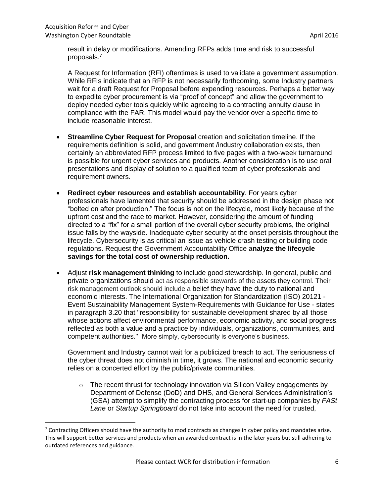$\overline{a}$ 

result in delay or modifications. Amending RFPs adds time and risk to successful proposals.<sup>7</sup>

A Request for Information (RFI) oftentimes is used to validate a government assumption. While RFIs indicate that an RFP is not necessarily forthcoming, some Industry partners wait for a draft Request for Proposal before expending resources. Perhaps a better way to expedite cyber procurement is via "proof of concept" and allow the government to deploy needed cyber tools quickly while agreeing to a contracting annuity clause in compliance with the FAR. This model would pay the vendor over a specific time to include reasonable interest.

- **Streamline Cyber Request for Proposal** creation and solicitation timeline. If the requirements definition is solid, and government /industry collaboration exists, then certainly an abbreviated RFP process limited to five pages with a two-week turnaround is possible for urgent cyber services and products. Another consideration is to use oral presentations and display of solution to a qualified team of cyber professionals and requirement owners.
- **Redirect cyber resources and establish accountability**. For years cyber professionals have lamented that security should be addressed in the design phase not "bolted on after production." The focus is not on the lifecycle, most likely because of the upfront cost and the race to market. However, considering the amount of funding directed to a "fix" for a small portion of the overall cyber security problems, the original issue falls by the wayside. Inadequate cyber security at the onset persists throughout the lifecycle. Cybersecurity is as critical an issue as vehicle crash testing or building code regulations. Request the Government Accountability Office a**nalyze the lifecycle savings for the total cost of ownership reduction.**
- Adjust **risk management thinking** to include good stewardship. In general, public and private organizations should act as responsible stewards of the [assets](https://en.wikipedia.org/wiki/Assets) they control. Their risk management outlook should include a belief they have the duty to national and economic interests. The International Organization for Standardization (ISO) 20121 - Event Sustainability Management System-Requirements with Guidance for Use - states in paragraph 3.20 that "responsibility for sustainable development shared by all those whose actions affect environmental performance, economic activity, and social progress, reflected as both a value and a practice by individuals, organizations, communities, and competent authorities." More simply, cybersecurity is everyone's business.

Government and Industry cannot wait for a publicized breach to act. The seriousness of the cyber threat does not diminish in time, it grows. The national and economic security relies on a concerted effort by the public/private communities.

 $\circ$  The recent thrust for technology innovation via Silicon Valley engagements by Department of Defense (DoD) and DHS, and General Services Administration's (GSA) attempt to simplify the contracting process for start-up companies by *FASt Lane* or *Startup Springboard* do not take into account the need for trusted,

 $7$  Contracting Officers should have the authority to mod contracts as changes in cyber policy and mandates arise. This will support better services and products when an awarded contract is in the later years but still adhering to outdated references and guidance.